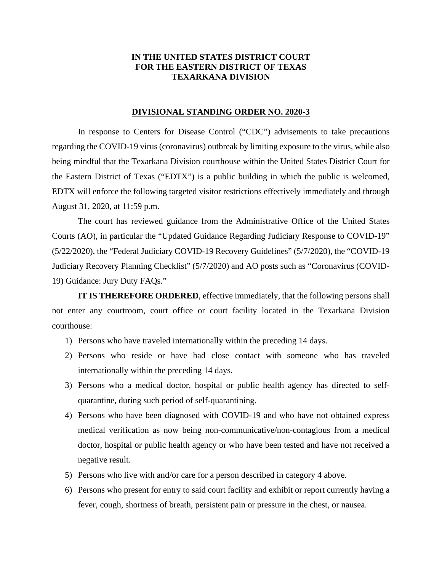## **IN THE UNITED STATES DISTRICT COURT FOR THE EASTERN DISTRICT OF TEXAS TEXARKANA DIVISION**

## **DIVISIONAL STANDING ORDER NO. 2020-3**

In response to Centers for Disease Control ("CDC") advisements to take precautions regarding the COVID-19 virus (coronavirus) outbreak by limiting exposure to the virus, while also being mindful that the Texarkana Division courthouse within the United States District Court for the Eastern District of Texas ("EDTX") is a public building in which the public is welcomed, EDTX will enforce the following targeted visitor restrictions effectively immediately and through August 31, 2020, at 11:59 p.m.

The court has reviewed guidance from the Administrative Office of the United States Courts (AO), in particular the "Updated Guidance Regarding Judiciary Response to COVID-19" (5/22/2020), the "Federal Judiciary COVID-19 Recovery Guidelines" (5/7/2020), the "COVID-19 Judiciary Recovery Planning Checklist" (5/7/2020) and AO posts such as "Coronavirus (COVID-19) Guidance: Jury Duty FAQs."

**IT IS THEREFORE ORDERED**, effective immediately, that the following persons shall not enter any courtroom, court office or court facility located in the Texarkana Division courthouse:

- 1) Persons who have traveled internationally within the preceding 14 days.
- 2) Persons who reside or have had close contact with someone who has traveled internationally within the preceding 14 days.
- 3) Persons who a medical doctor, hospital or public health agency has directed to selfquarantine, during such period of self-quarantining.
- 4) Persons who have been diagnosed with COVID-19 and who have not obtained express medical verification as now being non-communicative/non-contagious from a medical doctor, hospital or public health agency or who have been tested and have not received a negative result.
- 5) Persons who live with and/or care for a person described in category 4 above.
- 6) Persons who present for entry to said court facility and exhibit or report currently having a fever, cough, shortness of breath, persistent pain or pressure in the chest, or nausea.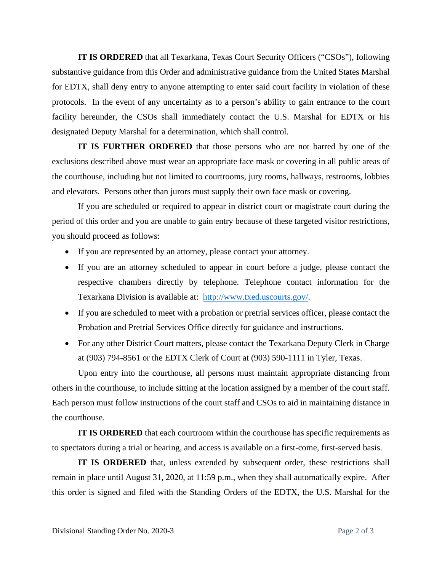**IT IS ORDERED** that all Texarkana, Texas Court Security Officers ("CSOs"), following substantive guidance from this Order and administrative guidance from the United States Marshal for EDTX, shall deny entry to anyone attempting to enter said court facility in violation of these protocols. In the event of any uncertainty as to a person's ability to gain entrance to the court facility hereunder, the CSOs shall immediately contact the U.S. Marshal for EDTX or his designated Deputy Marshal for a determination, which shall control.

**IT IS FURTHER ORDERED** that those persons who are not barred by one of the exclusions described above must wear an appropriate face mask or covering in all public areas of the courthouse, including but not limited to courtrooms, jury rooms, hallways, restrooms, lobbies and elevators. Persons other than jurors must supply their own face mask or covering.

If you are scheduled or required to appear in district court or magistrate court during the period of this order and you are unable to gain entry because of these targeted visitor restrictions, you should proceed as follows:

- If you are represented by an attorney, please contact your attorney.
- If you are an attorney scheduled to appear in court before a judge, please contact the respective chambers directly by telephone. Telephone contact information for the Texarkana Division is available at: http://www.txed.uscourts.gov/.
- If you are scheduled to meet with a probation or pretrial services officer, please contact the Probation and Pretrial Services Office directly for guidance and instructions.
- For any other District Court matters, please contact the Texarkana Deputy Clerk in Charge at (903) 794-8561 or the EDTX Clerk of Court at (903) 590-1111 in Tyler, Texas.

Upon entry into the courthouse, all persons must maintain appropriate distancing from others in the courthouse, to include sitting at the location assigned by a member of the court staff. Each person must follow instructions of the court staff and CSOs to aid in maintaining distance in the courthouse.

**IT IS ORDERED** that each courtroom within the courthouse has specific requirements as to spectators during a trial or hearing, and access is available on a first-come, first-served basis.

**IT IS ORDERED** that, unless extended by subsequent order, these restrictions shall remain in place until August 31, 2020, at 11:59 p.m., when they shall automatically expire. After this order is signed and filed with the Standing Orders of the EDTX, the U.S. Marshal for the